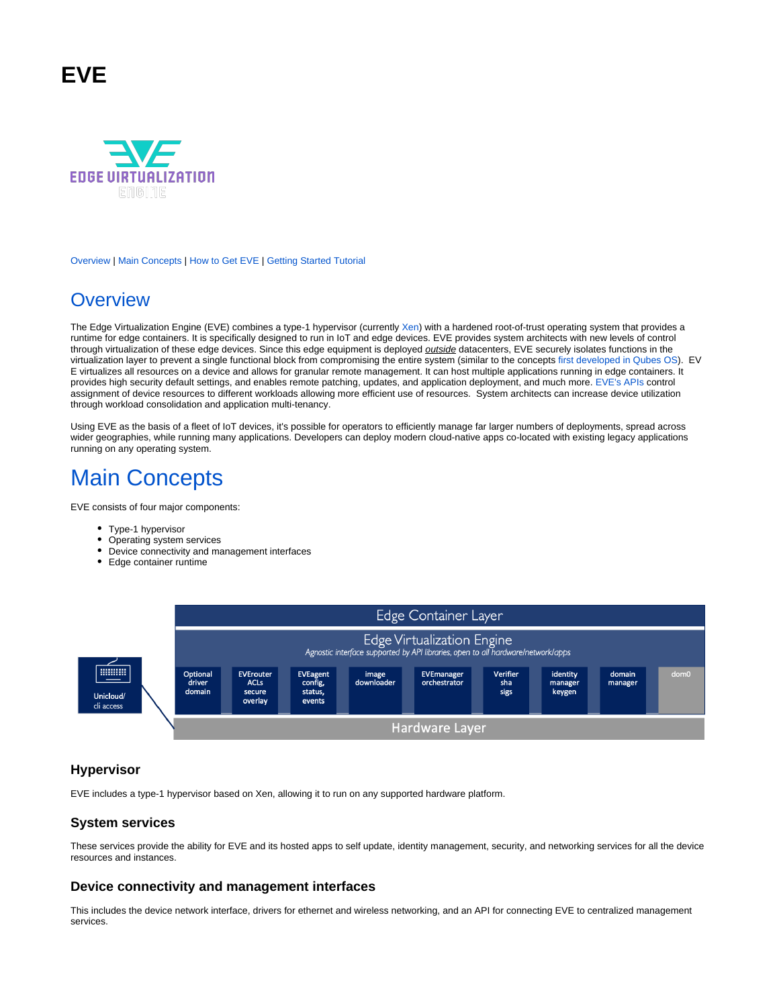# **EVE**



[Overview](https://wiki.lfedge.org/display/EVE/Project+EVE#ProjectEVE-overview) | [Main Concepts](https://wiki.lfedge.org/display/EVE/Project+EVE#ProjectEVE-main-concepts) | [How to Get EVE](https://wiki.lfedge.org/display/EVE/Project+EVE#ProjectEVE-how-to-get-eve) | [Getting Started Tutorial](https://wiki.lfedge.org/display/EVE/Project+EVE#ProjectEVE-getting-started-tutorial)

# **[Overview](https://wiki.lfedge.org/pages/viewpage.action?pageId=65625#EVE-overview)**

The Edge Virtualization Engine (EVE) combines a type-1 hypervisor (currently [Xen](https://xenproject.org/)) with a hardened root-of-trust operating system that provides a runtime for edge containers. It is specifically designed to run in IoT and edge devices. EVE provides system architects with new levels of control through virtualization of these edge devices. Since this edge equipment is deployed *outside* datacenters, EVE securely isolates functions in the virtualization layer to prevent a single functional block from compromising the entire system (similar to the concepts [first developed in Qubes OS\)](https://www.qubes-os.org/doc/architecture/). EV E virtualizes all resources on a device and allows for granular remote management. It can host multiple applications running in edge containers. It provides high security default settings, and enables remote patching, updates, and application deployment, and much more. [EVE's APIs](https://github.com/lf-edge/eve/tree/master/api) control assignment of device resources to different workloads allowing more efficient use of resources. System architects can increase device utilization through workload consolidation and application multi-tenancy.

Using EVE as the basis of a fleet of IoT devices, it's possible for operators to efficiently manage far larger numbers of deployments, spread across wider geographies, while running many applications. Developers can deploy modern cloud-native apps co-located with existing legacy applications running on any operating system.

# [Main Concepts](https://wiki.lfedge.org/pages/viewpage.action?pageId=65625#EVE-main-concepts)

EVE consists of four major components:

- Type-1 hypervisor
- Operating system services
- Device connectivity and management interfaces
- Edge container runtime



### **Hypervisor**

EVE includes a type-1 hypervisor based on Xen, allowing it to run on any supported hardware platform.

### **System services**

These services provide the ability for EVE and its hosted apps to self update, identity management, security, and networking services for all the device resources and instances.

### **Device connectivity and management interfaces**

This includes the device network interface, drivers for ethernet and wireless networking, and an API for connecting EVE to centralized management services.